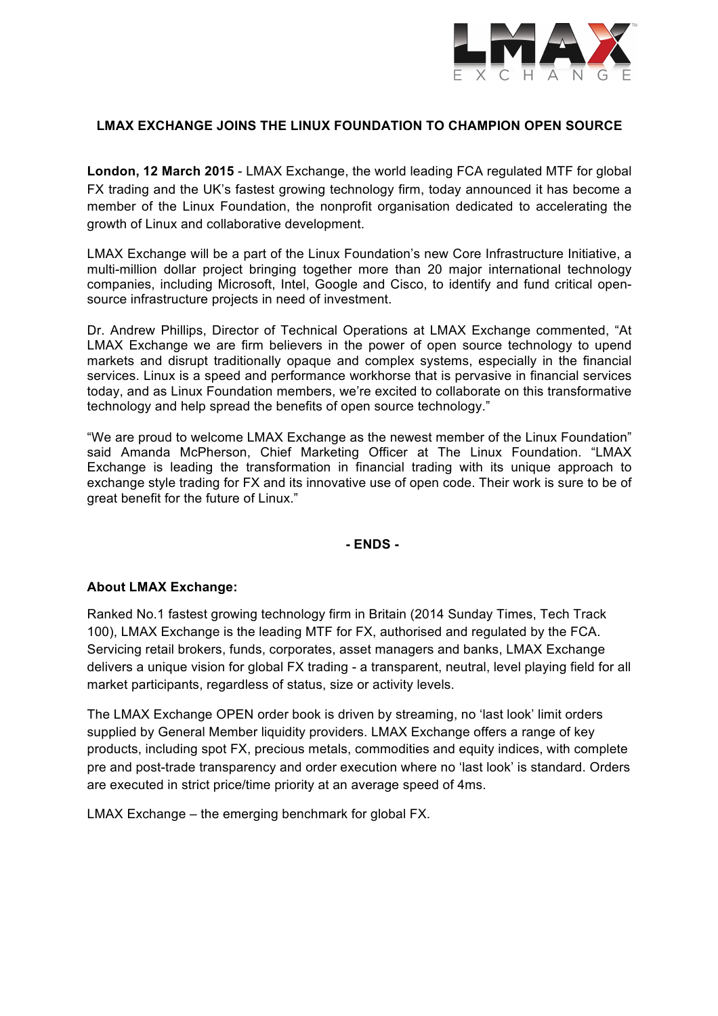

## **LMAX EXCHANGE JOINS THE LINUX FOUNDATION TO CHAMPION OPEN SOURCE**

**London, 12 March 2015** - LMAX Exchange, the world leading FCA regulated MTF for global FX trading and the UK's fastest growing technology firm, today announced it has become a member of the Linux Foundation, the nonprofit organisation dedicated to accelerating the growth of Linux and collaborative development.

LMAX Exchange will be a part of the Linux Foundation's new Core Infrastructure Initiative, a multi-million dollar project bringing together more than 20 major international technology companies, including Microsoft, Intel, Google and Cisco, to identify and fund critical opensource infrastructure projects in need of investment.

Dr. Andrew Phillips, Director of Technical Operations at LMAX Exchange commented, "At LMAX Exchange we are firm believers in the power of open source technology to upend markets and disrupt traditionally opaque and complex systems, especially in the financial services. Linux is a speed and performance workhorse that is pervasive in financial services today, and as Linux Foundation members, we're excited to collaborate on this transformative technology and help spread the benefits of open source technology."

"We are proud to welcome LMAX Exchange as the newest member of the Linux Foundation" said Amanda McPherson, Chief Marketing Officer at The Linux Foundation. "LMAX Exchange is leading the transformation in financial trading with its unique approach to exchange style trading for FX and its innovative use of open code. Their work is sure to be of great benefit for the future of Linux."

### **- ENDS -**

### **About LMAX Exchange:**

Ranked No.1 fastest growing technology firm in Britain (2014 Sunday Times, Tech Track 100), LMAX Exchange is the leading MTF for FX, authorised and regulated by the FCA. Servicing retail brokers, funds, corporates, asset managers and banks, LMAX Exchange delivers a unique vision for global FX trading - a transparent, neutral, level playing field for all market participants, regardless of status, size or activity levels.

The LMAX Exchange OPEN order book is driven by streaming, no 'last look' limit orders supplied by General Member liquidity providers. LMAX Exchange offers a range of key products, including spot FX, precious metals, commodities and equity indices, with complete pre and post-trade transparency and order execution where no 'last look' is standard. Orders are executed in strict price/time priority at an average speed of 4ms.

LMAX Exchange – the emerging benchmark for global FX.